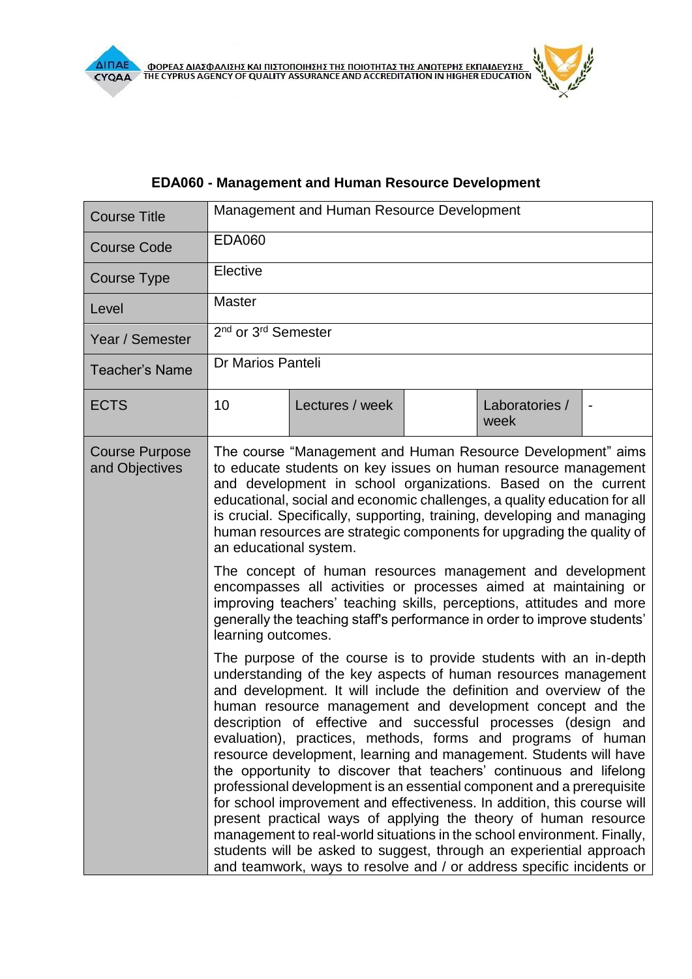$\mathbf{z}$ 

## **EDΑ060 - Management and Human Resource Development**

| <b>Course Title</b>                     | Management and Human Resource Development                                                                                                                                                                                                                                                                                                                                                                                                                |                                                                                                                                                                                                                                                                                                                                                                                                                                                                                                                                                                                                                                                                                                                                                                                                                                                                                                                                                                                                      |  |                        |  |
|-----------------------------------------|----------------------------------------------------------------------------------------------------------------------------------------------------------------------------------------------------------------------------------------------------------------------------------------------------------------------------------------------------------------------------------------------------------------------------------------------------------|------------------------------------------------------------------------------------------------------------------------------------------------------------------------------------------------------------------------------------------------------------------------------------------------------------------------------------------------------------------------------------------------------------------------------------------------------------------------------------------------------------------------------------------------------------------------------------------------------------------------------------------------------------------------------------------------------------------------------------------------------------------------------------------------------------------------------------------------------------------------------------------------------------------------------------------------------------------------------------------------------|--|------------------------|--|
| <b>Course Code</b>                      | <b>EDA060</b>                                                                                                                                                                                                                                                                                                                                                                                                                                            |                                                                                                                                                                                                                                                                                                                                                                                                                                                                                                                                                                                                                                                                                                                                                                                                                                                                                                                                                                                                      |  |                        |  |
| <b>Course Type</b>                      | Elective                                                                                                                                                                                                                                                                                                                                                                                                                                                 |                                                                                                                                                                                                                                                                                                                                                                                                                                                                                                                                                                                                                                                                                                                                                                                                                                                                                                                                                                                                      |  |                        |  |
| Level                                   | <b>Master</b>                                                                                                                                                                                                                                                                                                                                                                                                                                            |                                                                                                                                                                                                                                                                                                                                                                                                                                                                                                                                                                                                                                                                                                                                                                                                                                                                                                                                                                                                      |  |                        |  |
| Year / Semester                         | 2 <sup>nd</sup> or 3 <sup>rd</sup> Semester                                                                                                                                                                                                                                                                                                                                                                                                              |                                                                                                                                                                                                                                                                                                                                                                                                                                                                                                                                                                                                                                                                                                                                                                                                                                                                                                                                                                                                      |  |                        |  |
| <b>Teacher's Name</b>                   | Dr Marios Panteli                                                                                                                                                                                                                                                                                                                                                                                                                                        |                                                                                                                                                                                                                                                                                                                                                                                                                                                                                                                                                                                                                                                                                                                                                                                                                                                                                                                                                                                                      |  |                        |  |
| <b>ECTS</b>                             | 10                                                                                                                                                                                                                                                                                                                                                                                                                                                       | Lectures / week                                                                                                                                                                                                                                                                                                                                                                                                                                                                                                                                                                                                                                                                                                                                                                                                                                                                                                                                                                                      |  | Laboratories /<br>week |  |
| <b>Course Purpose</b><br>and Objectives | The course "Management and Human Resource Development" aims<br>to educate students on key issues on human resource management<br>and development in school organizations. Based on the current<br>educational, social and economic challenges, a quality education for all<br>is crucial. Specifically, supporting, training, developing and managing<br>human resources are strategic components for upgrading the quality of<br>an educational system. |                                                                                                                                                                                                                                                                                                                                                                                                                                                                                                                                                                                                                                                                                                                                                                                                                                                                                                                                                                                                      |  |                        |  |
|                                         | The concept of human resources management and development<br>encompasses all activities or processes aimed at maintaining or<br>improving teachers' teaching skills, perceptions, attitudes and more<br>generally the teaching staff's performance in order to improve students'<br>learning outcomes.                                                                                                                                                   |                                                                                                                                                                                                                                                                                                                                                                                                                                                                                                                                                                                                                                                                                                                                                                                                                                                                                                                                                                                                      |  |                        |  |
|                                         |                                                                                                                                                                                                                                                                                                                                                                                                                                                          | The purpose of the course is to provide students with an in-depth<br>understanding of the key aspects of human resources management<br>and development. It will include the definition and overview of the<br>human resource management and development concept and the<br>description of effective and successful processes (design and<br>evaluation), practices, methods, forms and programs of human<br>resource development, learning and management. Students will have<br>the opportunity to discover that teachers' continuous and lifelong<br>professional development is an essential component and a prerequisite<br>for school improvement and effectiveness. In addition, this course will<br>present practical ways of applying the theory of human resource<br>management to real-world situations in the school environment. Finally,<br>students will be asked to suggest, through an experiential approach<br>and teamwork, ways to resolve and / or address specific incidents or |  |                        |  |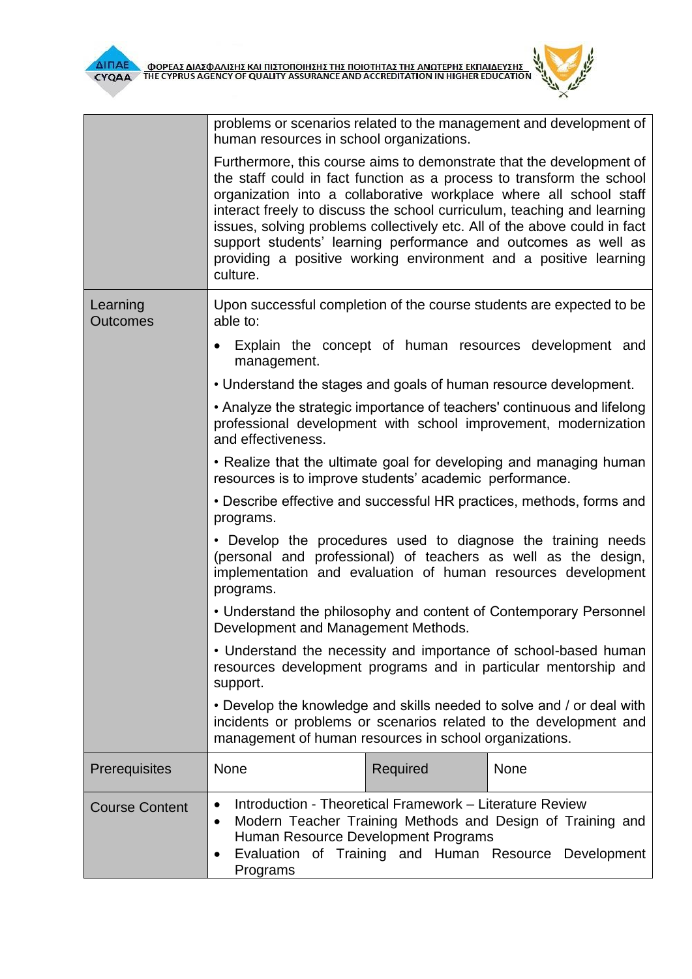$\frac{d^2}{dt^2}$  $^{\times}$ 

|                             | problems or scenarios related to the management and development of<br>human resources in school organizations.                                                                                                                                                            |          |                                                                                                                                                                                                                                                                                                                                                                                                                                                                                                                   |  |
|-----------------------------|---------------------------------------------------------------------------------------------------------------------------------------------------------------------------------------------------------------------------------------------------------------------------|----------|-------------------------------------------------------------------------------------------------------------------------------------------------------------------------------------------------------------------------------------------------------------------------------------------------------------------------------------------------------------------------------------------------------------------------------------------------------------------------------------------------------------------|--|
|                             | culture.                                                                                                                                                                                                                                                                  |          | Furthermore, this course aims to demonstrate that the development of<br>the staff could in fact function as a process to transform the school<br>organization into a collaborative workplace where all school staff<br>interact freely to discuss the school curriculum, teaching and learning<br>issues, solving problems collectively etc. All of the above could in fact<br>support students' learning performance and outcomes as well as<br>providing a positive working environment and a positive learning |  |
| Learning<br><b>Outcomes</b> | able to:                                                                                                                                                                                                                                                                  |          | Upon successful completion of the course students are expected to be                                                                                                                                                                                                                                                                                                                                                                                                                                              |  |
|                             | $\bullet$<br>management.                                                                                                                                                                                                                                                  |          | Explain the concept of human resources development and                                                                                                                                                                                                                                                                                                                                                                                                                                                            |  |
|                             | • Understand the stages and goals of human resource development.                                                                                                                                                                                                          |          |                                                                                                                                                                                                                                                                                                                                                                                                                                                                                                                   |  |
|                             | and effectiveness.                                                                                                                                                                                                                                                        |          | • Analyze the strategic importance of teachers' continuous and lifelong<br>professional development with school improvement, modernization                                                                                                                                                                                                                                                                                                                                                                        |  |
|                             | resources is to improve students' academic performance.                                                                                                                                                                                                                   |          | • Realize that the ultimate goal for developing and managing human                                                                                                                                                                                                                                                                                                                                                                                                                                                |  |
|                             | • Describe effective and successful HR practices, methods, forms and<br>programs.                                                                                                                                                                                         |          |                                                                                                                                                                                                                                                                                                                                                                                                                                                                                                                   |  |
|                             | • Develop the procedures used to diagnose the training needs<br>(personal and professional) of teachers as well as the design,<br>implementation and evaluation of human resources development<br>programs.                                                               |          |                                                                                                                                                                                                                                                                                                                                                                                                                                                                                                                   |  |
|                             | Development and Management Methods.                                                                                                                                                                                                                                       |          | • Understand the philosophy and content of Contemporary Personnel                                                                                                                                                                                                                                                                                                                                                                                                                                                 |  |
|                             | • Understand the necessity and importance of school-based human<br>resources development programs and in particular mentorship and<br>support.                                                                                                                            |          |                                                                                                                                                                                                                                                                                                                                                                                                                                                                                                                   |  |
|                             | • Develop the knowledge and skills needed to solve and / or deal with<br>incidents or problems or scenarios related to the development and<br>management of human resources in school organizations.                                                                      |          |                                                                                                                                                                                                                                                                                                                                                                                                                                                                                                                   |  |
| <b>Prerequisites</b>        | None                                                                                                                                                                                                                                                                      | Required | <b>None</b>                                                                                                                                                                                                                                                                                                                                                                                                                                                                                                       |  |
| <b>Course Content</b>       | Introduction - Theoretical Framework - Literature Review<br>$\bullet$<br>Modern Teacher Training Methods and Design of Training and<br>$\bullet$<br>Human Resource Development Programs<br>Evaluation of Training and Human Resource Development<br>$\bullet$<br>Programs |          |                                                                                                                                                                                                                                                                                                                                                                                                                                                                                                                   |  |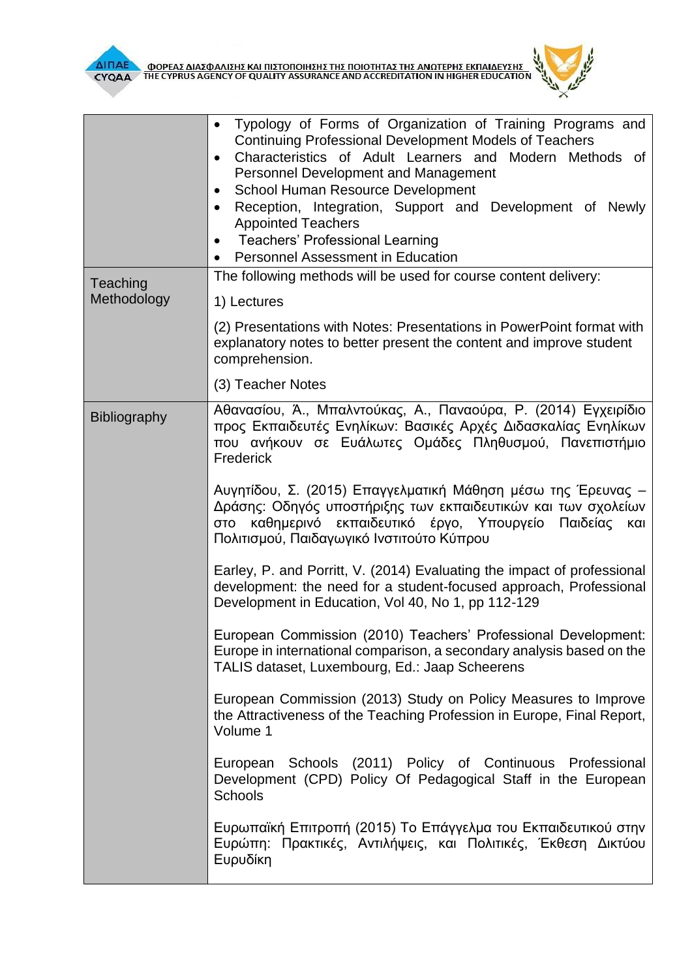



|                         | Typology of Forms of Organization of Training Programs and<br><b>Continuing Professional Development Models of Teachers</b><br>Characteristics of Adult Learners and Modern Methods of<br>$\bullet$<br>Personnel Development and Management<br>School Human Resource Development<br>$\bullet$<br>Reception, Integration, Support and Development of Newly<br>٠<br><b>Appointed Teachers</b><br><b>Teachers' Professional Learning</b><br>$\bullet$<br><b>Personnel Assessment in Education</b> |  |
|-------------------------|------------------------------------------------------------------------------------------------------------------------------------------------------------------------------------------------------------------------------------------------------------------------------------------------------------------------------------------------------------------------------------------------------------------------------------------------------------------------------------------------|--|
| Teaching<br>Methodology | The following methods will be used for course content delivery:<br>1) Lectures                                                                                                                                                                                                                                                                                                                                                                                                                 |  |
|                         | (2) Presentations with Notes: Presentations in PowerPoint format with<br>explanatory notes to better present the content and improve student<br>comprehension.                                                                                                                                                                                                                                                                                                                                 |  |
|                         | (3) Teacher Notes                                                                                                                                                                                                                                                                                                                                                                                                                                                                              |  |
| Bibliography            | Αθανασίου, Ά., Μπαλντούκας, Α., Παναούρα, Ρ. (2014) Εγχειρίδιο<br>προς Εκπαιδευτές Ενηλίκων: Βασικές Αρχές Διδασκαλίας Ενηλίκων<br>που ανήκουν σε Ευάλωτες Ομάδες Πληθυσμού, Πανεπιστήμιο<br>Frederick                                                                                                                                                                                                                                                                                         |  |
|                         | Αυγητίδου, Σ. (2015) Επαγγελματική Μάθηση μέσω της Έρευνας -<br>Δράσης: Οδηγός υποστήριξης των εκπαιδευτικών και των σχολείων<br>καθημερινό εκπαιδευτικό έργο, Υπουργείο Παιδείας και<br>στο<br>Πολιτισμού, Παιδαγωγικό Ινστιτούτο Κύπρου                                                                                                                                                                                                                                                      |  |
|                         | Earley, P. and Porritt, V. (2014) Evaluating the impact of professional<br>development: the need for a student-focused approach, Professional<br>Development in Education, Vol 40, No 1, pp 112-129                                                                                                                                                                                                                                                                                            |  |
|                         | European Commission (2010) Teachers' Professional Development:<br>Europe in international comparison, a secondary analysis based on the<br>TALIS dataset, Luxembourg, Ed.: Jaap Scheerens                                                                                                                                                                                                                                                                                                      |  |
|                         | European Commission (2013) Study on Policy Measures to Improve<br>the Attractiveness of the Teaching Profession in Europe, Final Report,<br>Volume 1                                                                                                                                                                                                                                                                                                                                           |  |
|                         | European Schools (2011) Policy of Continuous Professional<br>Development (CPD) Policy Of Pedagogical Staff in the European<br>Schools                                                                                                                                                                                                                                                                                                                                                          |  |
|                         | Ευρωπαϊκή Επιτροπή (2015) Το Επάγγελμα του Εκπαιδευτικού στην<br>Ευρώπη: Πρακτικές, Αντιλήψεις, και Πολιτικές, Έκθεση Δικτύου<br>Ευρυδίκη                                                                                                                                                                                                                                                                                                                                                      |  |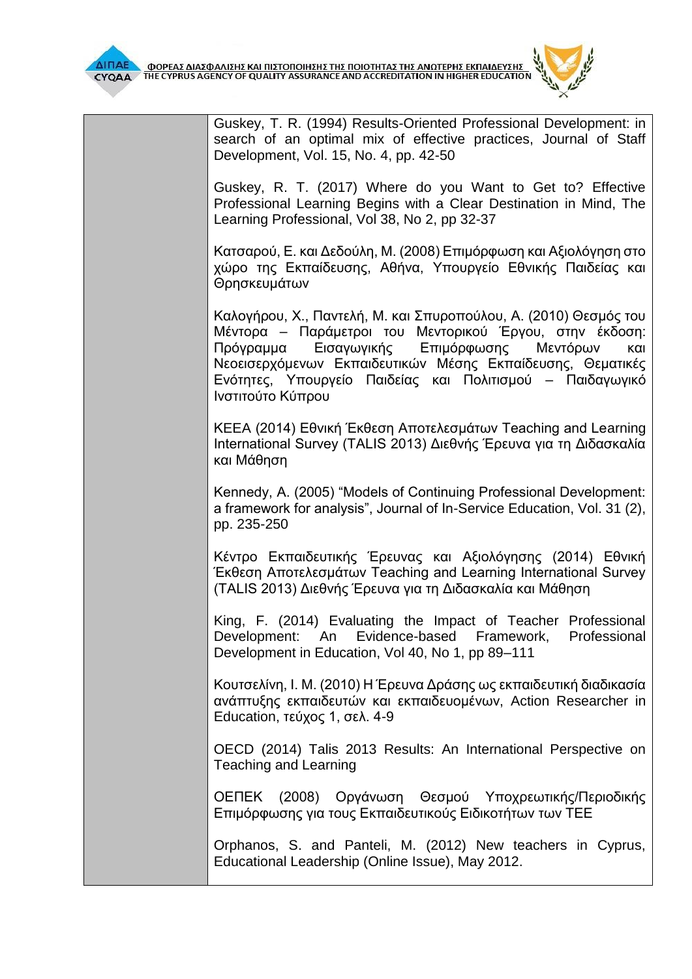

Guskey, T. R. (1994) Results-Oriented Professional Development: in search of an optimal mix of effective practices, Journal of Staff Development, Vol. 15, No. 4, pp. 42-50

Guskey, R. T. (2017) Where do you Want to Get to? Effective Professional Learning Begins with a Clear Destination in Mind, The Learning Professional, Vol 38, No 2, pp 32-37

Κατσαρού, Ε. και Δεδούλη, Μ. (2008) Επιμόρφωση και Αξιολόγηση στο χώρο της Εκπαίδευσης, Αθήνα, Υπουργείο Εθνικής Παιδείας και Θρησκευμάτων

Καλογήρου, Χ., Παντελή, Μ. και Σπυροπούλου, Α. (2010) Θεσμός του Μέντορα – Παράμετροι του Μεντορικού Έργου, στην έκδοση: Πρόγραμμα Εισαγωγικής Επιμόρφωσης Μεντόρων και Νεοεισερχόμενων Εκπαιδευτικών Μέσης Εκπαίδευσης, Θεματικές Ενότητες, Υπουργείο Παιδείας και Πολιτισμού – Παιδαγωγικό Ινστιτούτο Κύπρου

ΚEEA (2014) Εθνική Έκθεση Αποτελεσμάτων Teaching and Learning International Survey (TALIS 2013) Διεθνής Έρευνα για τη Διδασκαλία και Μάθηση

Kennedy, A. (2005) "Models of Continuing Professional Development: a framework for analysis", Journal of In-Service Education, Vol. 31 (2), pp. 235-250

Κέντρο Εκπαιδευτικής Έρευνας και Αξιολόγησης (2014) Εθνική Έκθεση Αποτελεσμάτων Teaching and Learning International Survey (TALIS 2013) Διεθνής Έρευνα για τη Διδασκαλία και Μάθηση

King, F. (2014) Evaluating the Impact of Teacher Professional Development: An Evidence-based Framework, Professional Development in Education, Vol 40, No 1, pp 89–111

Κουτσελίνη, Ι. Μ. (2010) Η Έρευνα Δράσης ως εκπαιδευτική διαδικασία ανάπτυξης εκπαιδευτών και εκπαιδευομένων, Action Researcher in Education, τεύχος 1, σελ. 4-9

OECD (2014) Talis 2013 Results: An International Perspective on Teaching and Learning

ΟΕΠΕΚ (2008) Οργάνωση Θεσμού Υποχρεωτικής/Περιοδικής Επιμόρφωσης για τους Εκπαιδευτικούς Ειδικοτήτων των ΤΕΕ

Orphanos, S. and Panteli, M. (2012) New teachers in Cyprus, Educational Leadership (Online Issue), May 2012.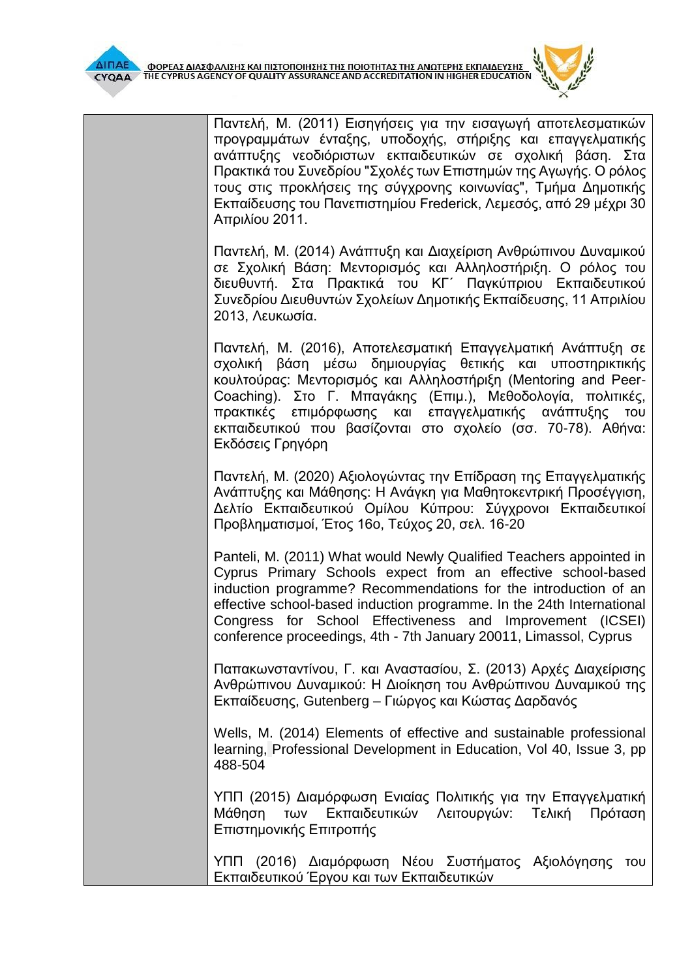| <b>CYOAA</b> | Ο ΦΟΡΕΑΣ ΔΙΑΣΦΑΛΙΣΗΣ ΚΑΙ ΠΙΣΤΟΠΟΙΗΣΗΣ ΤΗΣ ΠΟΙΟΤΗΤΑΣ ΤΗΣ ΑΝΩΤΕΡΗΣ ΕΚΠΑΙΔΕΥΣΗΣ<br>ΤΗΕ CYPRUS AGENCY OF QUALITY ASSURANCE AND ACCREDITATION IN HIGHER EDUCATION                                                                                                                                                                                                                                                      |
|--------------|-------------------------------------------------------------------------------------------------------------------------------------------------------------------------------------------------------------------------------------------------------------------------------------------------------------------------------------------------------------------------------------------------------------------|
|              | Παντελή, Μ. (2011) Εισηγήσεις για την εισαγωγή αποτελεσματικών<br>προγραμμάτων ένταξης, υποδοχής, στήριξης και επαγγελματικής<br>ανάπτυξης νεοδιόριστων εκπαιδευτικών σε σχολική βάση. Στα<br>Πρακτικά του Συνεδρίου "Σχολές των Επιστημών της Αγωγής. Ο ρόλος<br>τους στις προκλήσεις της σύγχρονης κοινωνίας", Τμήμα Δημοτικής<br>Εκπαίδευσης του Πανεπιστημίου Frederick, Λεμεσός, από 29 μέχρι 30             |
|              | Απριλίου 2011.<br>Παντελή, Μ. (2014) Ανάπτυξη και Διαχείριση Ανθρώπινου Δυναμικού<br>σε Σχολική Βάση: Μεντορισμός και Αλληλοστήριξη. Ο ρόλος του<br>διευθυντή. Στα Πρακτικά του ΚΓ΄ Παγκύπριου Εκπαιδευτικού<br>Συνεδρίου Διευθυντών Σχολείων Δημοτικής Εκπαίδευσης, 11 Απριλίου<br>2013, Λευκωσία.                                                                                                               |
|              | Παντελή, Μ. (2016), Αποτελεσματική Επαγγελματική Ανάπτυξη σε<br>σχολική βάση μέσω δημιουργίας θετικής και υποστηρικτικής<br>κουλτούρας: Μεντορισμός και Αλληλοστήριξη (Mentoring and Peer-<br>Coaching). Στο Γ. Μπαγάκης (Επιμ.), Μεθοδολογία, πολιτικές,<br>πρακτικές επιμόρφωσης και επαγγελματικής ανάπτυξης του<br>εκπαιδευτικού που βασίζονται στο σχολείο (σσ. 70-78). Αθήνα:<br>Εκδόσεις Γρηγόρη           |
|              | Παντελή, Μ. (2020) Αξιολογώντας την Επίδραση της Επαγγελματικής<br>Ανάπτυξης και Μάθησης: Η Ανάγκη για Μαθητοκεντρική Προσέγγιση,<br>Δελτίο Εκπαιδευτικού Ομίλου Κύπρου: Σύγχρονοι Εκπαιδευτικοί<br>Προβληματισμοί, Έτος 16ο, Τεύχος 20, σελ. 16-20                                                                                                                                                               |
|              | Panteli, M. (2011) What would Newly Qualified Teachers appointed in<br>Cyprus Primary Schools expect from an effective school-based<br>induction programme? Recommendations for the introduction of an<br>effective school-based induction programme. In the 24th International<br>Congress for School Effectiveness and Improvement (ICSEI)<br>conference proceedings, 4th - 7th January 20011, Limassol, Cyprus |
|              | Παπακωνσταντίνου, Γ. και Αναστασίου, Σ. (2013) Αρχές Διαχείρισης<br>Ανθρώπινου Δυναμικού: Η Διοίκηση του Ανθρώπινου Δυναμικού της<br>Εκπαίδευσης, Gutenberg - Γιώργος και Κώστας Δαρδανός                                                                                                                                                                                                                         |
|              | Wells, M. (2014) Elements of effective and sustainable professional<br>learning, Professional Development in Education, Vol 40, Issue 3, pp<br>488-504                                                                                                                                                                                                                                                            |
|              | ΥΠΠ (2015) Διαμόρφωση Ενιαίας Πολιτικής για την Επαγγελματική<br>Μάθηση των Εκπαιδευτικών Λειτουργών: Τελική<br>Πρόταση<br>Επιστημονικής Επιτροπής                                                                                                                                                                                                                                                                |
|              | ΥΠΠ (2016) Διαμόρφωση Νέου Συστήματος Αξιολόγησης<br>TOU<br>Εκπαιδευτικού Έργου και των Εκπαιδευτικών                                                                                                                                                                                                                                                                                                             |